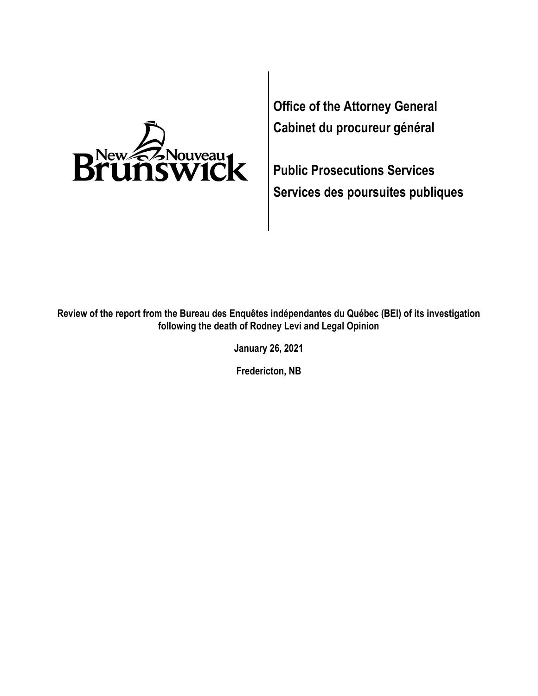

**Office of the Attorney General Cabinet du procureur général**

**Public Prosecutions Services Services des poursuites publiques**

**Review of the report from the Bureau des Enquêtes indépendantes du Québec (BEI) of its investigation following the death of Rodney Levi and Legal Opinion**

**January 26, 2021**

**Fredericton, NB**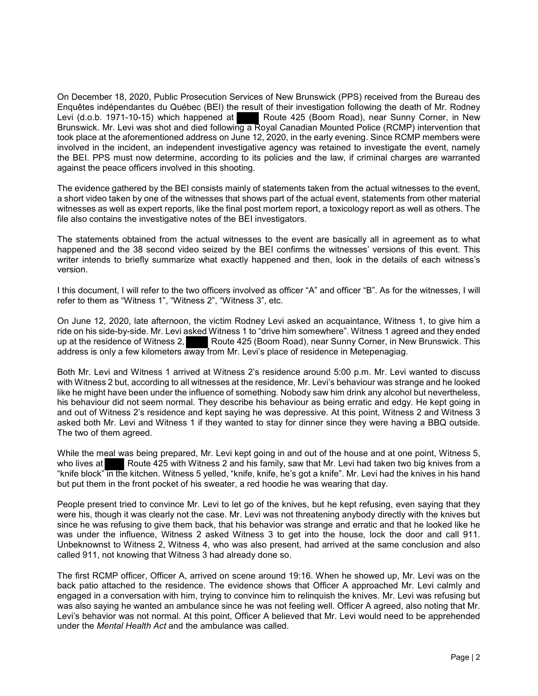On December 18, 2020, Public Prosecution Services of New Brunswick (PPS) received from the Bureau des Enquêtes indépendantes du Québec (BEI) the result of their investigation following the death of Mr. Rodney Levi (d.o.b. 1971-10-15) which happened at **Route 425 (Boom Road), near Sunny Corner**, in New Brunswick. Mr. Levi was shot and died following a Royal Canadian Mounted Police (RCMP) intervention that took place at the aforementioned address on June 12, 2020, in the early evening. Since RCMP members were involved in the incident, an independent investigative agency was retained to investigate the event, namely the BEI. PPS must now determine, according to its policies and the law, if criminal charges are warranted against the peace officers involved in this shooting.

The evidence gathered by the BEI consists mainly of statements taken from the actual witnesses to the event, a short video taken by one of the witnesses that shows part of the actual event, statements from other material witnesses as well as expert reports, like the final post mortem report, a toxicology report as well as others. The file also contains the investigative notes of the BEI investigators.

The statements obtained from the actual witnesses to the event are basically all in agreement as to what happened and the 38 second video seized by the BEI confirms the witnesses' versions of this event. This writer intends to briefly summarize what exactly happened and then, look in the details of each witness's version.

I this document, I will refer to the two officers involved as officer "A" and officer "B". As for the witnesses, I will refer to them as "Witness 1", "Witness 2", "Witness 3", etc.

On June 12, 2020, late afternoon, the victim Rodney Levi asked an acquaintance, Witness 1, to give him a ride on his side-by-side. Mr. Levi asked Witness 1 to "drive him somewhere". Witness 1 agreed and they ended up at the residence of Witness 2, Route 425 (Boom Road), near Sunny Corner, in New Brunswick. This address is only a few kilometers away from Mr. Levi's place of residence in Metepenagiag.

Both Mr. Levi and Witness 1 arrived at Witness 2's residence around 5:00 p.m. Mr. Levi wanted to discuss with Witness 2 but, according to all witnesses at the residence, Mr. Levi's behaviour was strange and he looked like he might have been under the influence of something. Nobody saw him drink any alcohol but nevertheless, his behaviour did not seem normal. They describe his behaviour as being erratic and edgy. He kept going in and out of Witness 2's residence and kept saying he was depressive. At this point, Witness 2 and Witness 3 asked both Mr. Levi and Witness 1 if they wanted to stay for dinner since they were having a BBQ outside. The two of them agreed.

While the meal was being prepared, Mr. Levi kept going in and out of the house and at one point, Witness 5, who lives at Route 425 with Witness 2 and his family, saw that Mr. Levi had taken two big knives from a "knife block" in the kitchen. Witness 5 yelled, "knife, knife, he's got a knife". Mr. Levi had the knives in his hand but put them in the front pocket of his sweater, a red hoodie he was wearing that day.

People present tried to convince Mr. Levi to let go of the knives, but he kept refusing, even saying that they were his, though it was clearly not the case. Mr. Levi was not threatening anybody directly with the knives but since he was refusing to give them back, that his behavior was strange and erratic and that he looked like he was under the influence, Witness 2 asked Witness 3 to get into the house, lock the door and call 911. Unbeknownst to Witness 2, Witness 4, who was also present, had arrived at the same conclusion and also called 911, not knowing that Witness 3 had already done so.

The first RCMP officer, Officer A, arrived on scene around 19:16. When he showed up, Mr. Levi was on the back patio attached to the residence. The evidence shows that Officer A approached Mr. Levi calmly and engaged in a conversation with him, trying to convince him to relinquish the knives. Mr. Levi was refusing but was also saying he wanted an ambulance since he was not feeling well. Officer A agreed, also noting that Mr. Levi's behavior was not normal. At this point, Officer A believed that Mr. Levi would need to be apprehended under the *Mental Health Act* and the ambulance was called.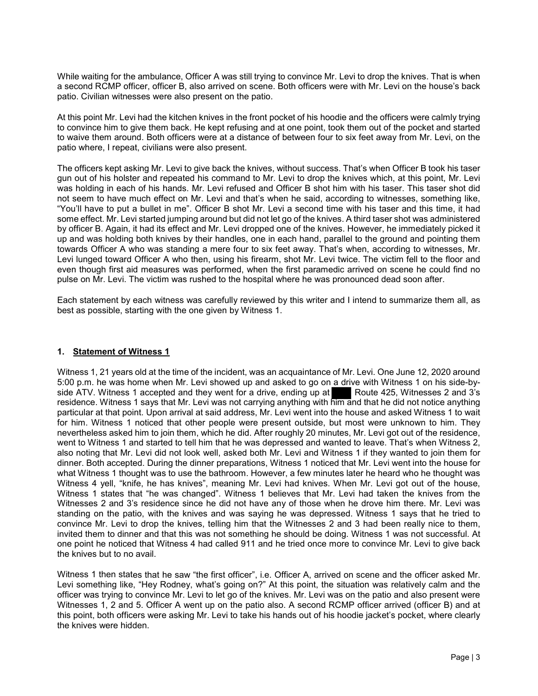While waiting for the ambulance, Officer A was still trying to convince Mr. Levi to drop the knives. That is when a second RCMP officer, officer B, also arrived on scene. Both officers were with Mr. Levi on the house's back patio. Civilian witnesses were also present on the patio.

At this point Mr. Levi had the kitchen knives in the front pocket of his hoodie and the officers were calmly trying to convince him to give them back. He kept refusing and at one point, took them out of the pocket and started to waive them around. Both officers were at a distance of between four to six feet away from Mr. Levi, on the patio where, I repeat, civilians were also present.

The officers kept asking Mr. Levi to give back the knives, without success. That's when Officer B took his taser gun out of his holster and repeated his command to Mr. Levi to drop the knives which, at this point, Mr. Levi was holding in each of his hands. Mr. Levi refused and Officer B shot him with his taser. This taser shot did not seem to have much effect on Mr. Levi and that's when he said, according to witnesses, something like, "You'll have to put a bullet in me". Officer B shot Mr. Levi a second time with his taser and this time, it had some effect. Mr. Levi started jumping around but did not let go of the knives. A third taser shot was administered by officer B. Again, it had its effect and Mr. Levi dropped one of the knives. However, he immediately picked it up and was holding both knives by their handles, one in each hand, parallel to the ground and pointing them towards Officer A who was standing a mere four to six feet away. That's when, according to witnesses, Mr. Levi lunged toward Officer A who then, using his firearm, shot Mr. Levi twice. The victim fell to the floor and even though first aid measures was performed, when the first paramedic arrived on scene he could find no pulse on Mr. Levi. The victim was rushed to the hospital where he was pronounced dead soon after.

Each statement by each witness was carefully reviewed by this writer and I intend to summarize them all, as best as possible, starting with the one given by Witness 1.

### **1. Statement of Witness 1**

Witness 1, 21 years old at the time of the incident, was an acquaintance of Mr. Levi. One June 12, 2020 around 5:00 p.m. he was home when Mr. Levi showed up and asked to go on a drive with Witness 1 on his side-byside ATV. Witness 1 accepted and they went for a drive, ending up at Route 425, Witnesses 2 and 3's residence. Witness 1 says that Mr. Levi was not carrying anything with him and that he did not notice anything particular at that point. Upon arrival at said address, Mr. Levi went into the house and asked Witness 1 to wait for him. Witness 1 noticed that other people were present outside, but most were unknown to him. They nevertheless asked him to join them, which he did. After roughly 20 minutes, Mr. Levi got out of the residence, went to Witness 1 and started to tell him that he was depressed and wanted to leave. That's when Witness 2, also noting that Mr. Levi did not look well, asked both Mr. Levi and Witness 1 if they wanted to join them for dinner. Both accepted. During the dinner preparations, Witness 1 noticed that Mr. Levi went into the house for what Witness 1 thought was to use the bathroom. However, a few minutes later he heard who he thought was Witness 4 yell, "knife, he has knives", meaning Mr. Levi had knives. When Mr. Levi got out of the house, Witness 1 states that "he was changed". Witness 1 believes that Mr. Levi had taken the knives from the Witnesses 2 and 3's residence since he did not have any of those when he drove him there. Mr. Levi was standing on the patio, with the knives and was saying he was depressed. Witness 1 says that he tried to convince Mr. Levi to drop the knives, telling him that the Witnesses 2 and 3 had been really nice to them, invited them to dinner and that this was not something he should be doing. Witness 1 was not successful. At one point he noticed that Witness 4 had called 911 and he tried once more to convince Mr. Levi to give back the knives but to no avail.

Witness 1 then states that he saw "the first officer", i.e. Officer A, arrived on scene and the officer asked Mr. Levi something like, "Hey Rodney, what's going on?" At this point, the situation was relatively calm and the officer was trying to convince Mr. Levi to let go of the knives. Mr. Levi was on the patio and also present were Witnesses 1, 2 and 5. Officer A went up on the patio also. A second RCMP officer arrived (officer B) and at this point, both officers were asking Mr. Levi to take his hands out of his hoodie jacket's pocket, where clearly the knives were hidden.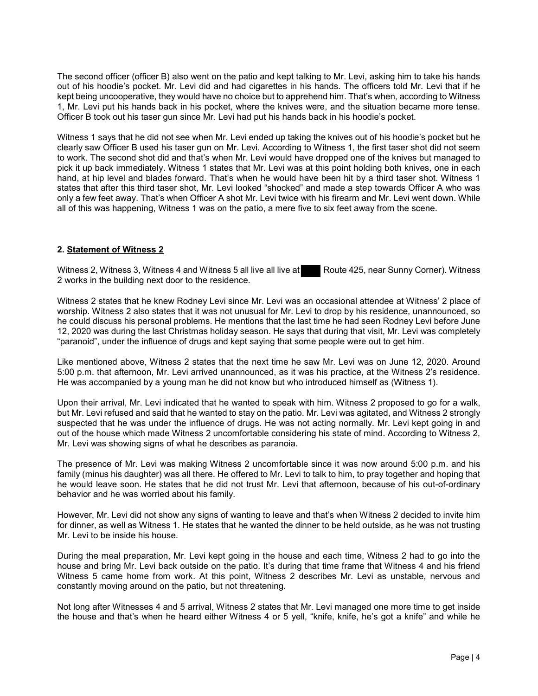The second officer (officer B) also went on the patio and kept talking to Mr. Levi, asking him to take his hands out of his hoodie's pocket. Mr. Levi did and had cigarettes in his hands. The officers told Mr. Levi that if he kept being uncooperative, they would have no choice but to apprehend him. That's when, according to Witness 1, Mr. Levi put his hands back in his pocket, where the knives were, and the situation became more tense. Officer B took out his taser gun since Mr. Levi had put his hands back in his hoodie's pocket.

Witness 1 says that he did not see when Mr. Levi ended up taking the knives out of his hoodie's pocket but he clearly saw Officer B used his taser gun on Mr. Levi. According to Witness 1, the first taser shot did not seem to work. The second shot did and that's when Mr. Levi would have dropped one of the knives but managed to pick it up back immediately. Witness 1 states that Mr. Levi was at this point holding both knives, one in each hand, at hip level and blades forward. That's when he would have been hit by a third taser shot. Witness 1 states that after this third taser shot, Mr. Levi looked "shocked" and made a step towards Officer A who was only a few feet away. That's when Officer A shot Mr. Levi twice with his firearm and Mr. Levi went down. While all of this was happening, Witness 1 was on the patio, a mere five to six feet away from the scene.

## **2. Statement of Witness 2**

Witness 2, Witness 3, Witness 4 and Witness 5 all live all live at Route 425, near Sunny Corner). Witness 2 works in the building next door to the residence.

Witness 2 states that he knew Rodney Levi since Mr. Levi was an occasional attendee at Witness' 2 place of worship. Witness 2 also states that it was not unusual for Mr. Levi to drop by his residence, unannounced, so he could discuss his personal problems. He mentions that the last time he had seen Rodney Levi before June 12, 2020 was during the last Christmas holiday season. He says that during that visit, Mr. Levi was completely "paranoid", under the influence of drugs and kept saying that some people were out to get him.

Like mentioned above, Witness 2 states that the next time he saw Mr. Levi was on June 12, 2020. Around 5:00 p.m. that afternoon, Mr. Levi arrived unannounced, as it was his practice, at the Witness 2's residence. He was accompanied by a young man he did not know but who introduced himself as (Witness 1).

Upon their arrival, Mr. Levi indicated that he wanted to speak with him. Witness 2 proposed to go for a walk, but Mr. Levi refused and said that he wanted to stay on the patio. Mr. Levi was agitated, and Witness 2 strongly suspected that he was under the influence of drugs. He was not acting normally. Mr. Levi kept going in and out of the house which made Witness 2 uncomfortable considering his state of mind. According to Witness 2, Mr. Levi was showing signs of what he describes as paranoia.

The presence of Mr. Levi was making Witness 2 uncomfortable since it was now around 5:00 p.m. and his family (minus his daughter) was all there. He offered to Mr. Levi to talk to him, to pray together and hoping that he would leave soon. He states that he did not trust Mr. Levi that afternoon, because of his out-of-ordinary behavior and he was worried about his family.

However, Mr. Levi did not show any signs of wanting to leave and that's when Witness 2 decided to invite him for dinner, as well as Witness 1. He states that he wanted the dinner to be held outside, as he was not trusting Mr. Levi to be inside his house.

During the meal preparation, Mr. Levi kept going in the house and each time, Witness 2 had to go into the house and bring Mr. Levi back outside on the patio. It's during that time frame that Witness 4 and his friend Witness 5 came home from work. At this point, Witness 2 describes Mr. Levi as unstable, nervous and constantly moving around on the patio, but not threatening.

Not long after Witnesses 4 and 5 arrival, Witness 2 states that Mr. Levi managed one more time to get inside the house and that's when he heard either Witness 4 or 5 yell, "knife, knife, he's got a knife" and while he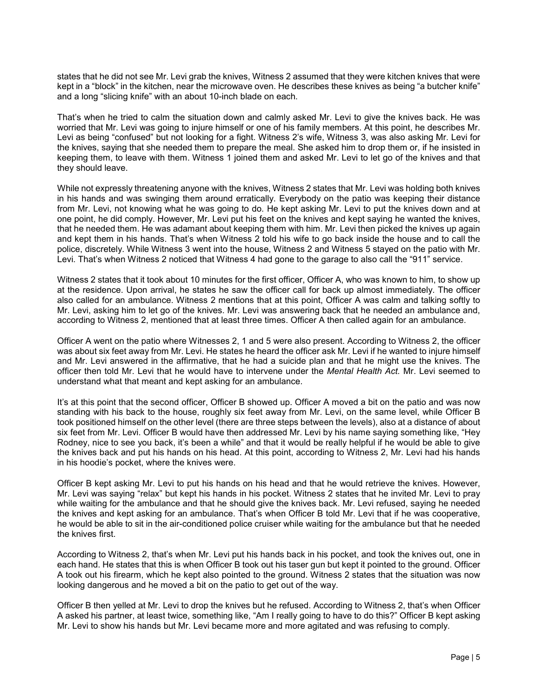states that he did not see Mr. Levi grab the knives, Witness 2 assumed that they were kitchen knives that were kept in a "block" in the kitchen, near the microwave oven. He describes these knives as being "a butcher knife" and a long "slicing knife" with an about 10-inch blade on each.

That's when he tried to calm the situation down and calmly asked Mr. Levi to give the knives back. He was worried that Mr. Levi was going to injure himself or one of his family members. At this point, he describes Mr. Levi as being "confused" but not looking for a fight. Witness 2's wife, Witness 3, was also asking Mr. Levi for the knives, saying that she needed them to prepare the meal. She asked him to drop them or, if he insisted in keeping them, to leave with them. Witness 1 joined them and asked Mr. Levi to let go of the knives and that they should leave.

While not expressly threatening anyone with the knives, Witness 2 states that Mr. Levi was holding both knives in his hands and was swinging them around erratically. Everybody on the patio was keeping their distance from Mr. Levi, not knowing what he was going to do. He kept asking Mr. Levi to put the knives down and at one point, he did comply. However, Mr. Levi put his feet on the knives and kept saying he wanted the knives, that he needed them. He was adamant about keeping them with him. Mr. Levi then picked the knives up again and kept them in his hands. That's when Witness 2 told his wife to go back inside the house and to call the police, discretely. While Witness 3 went into the house, Witness 2 and Witness 5 stayed on the patio with Mr. Levi. That's when Witness 2 noticed that Witness 4 had gone to the garage to also call the "911" service.

Witness 2 states that it took about 10 minutes for the first officer, Officer A, who was known to him, to show up at the residence. Upon arrival, he states he saw the officer call for back up almost immediately. The officer also called for an ambulance. Witness 2 mentions that at this point, Officer A was calm and talking softly to Mr. Levi, asking him to let go of the knives. Mr. Levi was answering back that he needed an ambulance and, according to Witness 2, mentioned that at least three times. Officer A then called again for an ambulance.

Officer A went on the patio where Witnesses 2, 1 and 5 were also present. According to Witness 2, the officer was about six feet away from Mr. Levi. He states he heard the officer ask Mr. Levi if he wanted to injure himself and Mr. Levi answered in the affirmative, that he had a suicide plan and that he might use the knives. The officer then told Mr. Levi that he would have to intervene under the *Mental Health Act.* Mr. Levi seemed to understand what that meant and kept asking for an ambulance.

It's at this point that the second officer, Officer B showed up. Officer A moved a bit on the patio and was now standing with his back to the house, roughly six feet away from Mr. Levi, on the same level, while Officer B took positioned himself on the other level (there are three steps between the levels), also at a distance of about six feet from Mr. Levi. Officer B would have then addressed Mr. Levi by his name saying something like, "Hey Rodney, nice to see you back, it's been a while" and that it would be really helpful if he would be able to give the knives back and put his hands on his head. At this point, according to Witness 2, Mr. Levi had his hands in his hoodie's pocket, where the knives were.

Officer B kept asking Mr. Levi to put his hands on his head and that he would retrieve the knives. However, Mr. Levi was saying "relax" but kept his hands in his pocket. Witness 2 states that he invited Mr. Levi to pray while waiting for the ambulance and that he should give the knives back. Mr. Levi refused, saying he needed the knives and kept asking for an ambulance. That's when Officer B told Mr. Levi that if he was cooperative, he would be able to sit in the air-conditioned police cruiser while waiting for the ambulance but that he needed the knives first.

According to Witness 2, that's when Mr. Levi put his hands back in his pocket, and took the knives out, one in each hand. He states that this is when Officer B took out his taser gun but kept it pointed to the ground. Officer A took out his firearm, which he kept also pointed to the ground. Witness 2 states that the situation was now looking dangerous and he moved a bit on the patio to get out of the way.

Officer B then yelled at Mr. Levi to drop the knives but he refused. According to Witness 2, that's when Officer A asked his partner, at least twice, something like, "Am I really going to have to do this?" Officer B kept asking Mr. Levi to show his hands but Mr. Levi became more and more agitated and was refusing to comply.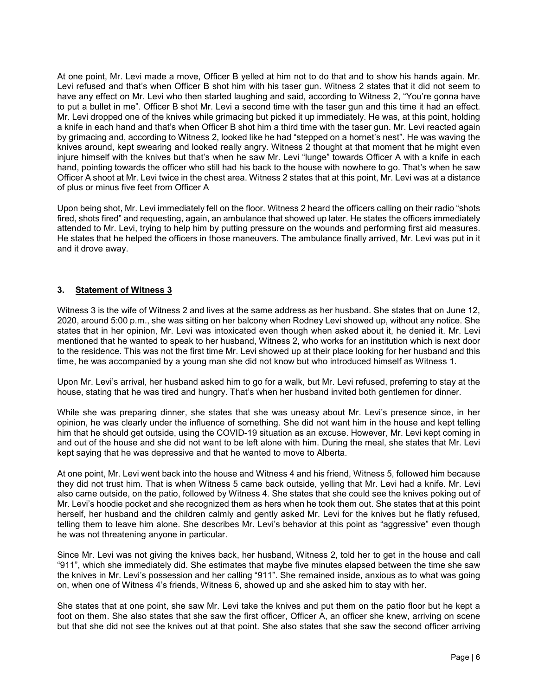At one point, Mr. Levi made a move, Officer B yelled at him not to do that and to show his hands again. Mr. Levi refused and that's when Officer B shot him with his taser gun. Witness 2 states that it did not seem to have any effect on Mr. Levi who then started laughing and said, according to Witness 2, "You're gonna have to put a bullet in me". Officer B shot Mr. Levi a second time with the taser gun and this time it had an effect. Mr. Levi dropped one of the knives while grimacing but picked it up immediately. He was, at this point, holding a knife in each hand and that's when Officer B shot him a third time with the taser gun. Mr. Levi reacted again by grimacing and, according to Witness 2, looked like he had "stepped on a hornet's nest". He was waving the knives around, kept swearing and looked really angry. Witness 2 thought at that moment that he might even injure himself with the knives but that's when he saw Mr. Levi "lunge" towards Officer A with a knife in each hand, pointing towards the officer who still had his back to the house with nowhere to go. That's when he saw Officer A shoot at Mr. Levi twice in the chest area. Witness 2 states that at this point, Mr. Levi was at a distance of plus or minus five feet from Officer A

Upon being shot, Mr. Levi immediately fell on the floor. Witness 2 heard the officers calling on their radio "shots fired, shots fired" and requesting, again, an ambulance that showed up later. He states the officers immediately attended to Mr. Levi, trying to help him by putting pressure on the wounds and performing first aid measures. He states that he helped the officers in those maneuvers. The ambulance finally arrived, Mr. Levi was put in it and it drove away.

# **3. Statement of Witness 3**

Witness 3 is the wife of Witness 2 and lives at the same address as her husband. She states that on June 12, 2020, around 5:00 p.m., she was sitting on her balcony when Rodney Levi showed up, without any notice. She states that in her opinion, Mr. Levi was intoxicated even though when asked about it, he denied it. Mr. Levi mentioned that he wanted to speak to her husband, Witness 2, who works for an institution which is next door to the residence. This was not the first time Mr. Levi showed up at their place looking for her husband and this time, he was accompanied by a young man she did not know but who introduced himself as Witness 1.

Upon Mr. Levi's arrival, her husband asked him to go for a walk, but Mr. Levi refused, preferring to stay at the house, stating that he was tired and hungry. That's when her husband invited both gentlemen for dinner.

While she was preparing dinner, she states that she was uneasy about Mr. Levi's presence since, in her opinion, he was clearly under the influence of something. She did not want him in the house and kept telling him that he should get outside, using the COVID-19 situation as an excuse. However, Mr. Levi kept coming in and out of the house and she did not want to be left alone with him. During the meal, she states that Mr. Levi kept saying that he was depressive and that he wanted to move to Alberta.

At one point, Mr. Levi went back into the house and Witness 4 and his friend, Witness 5, followed him because they did not trust him. That is when Witness 5 came back outside, yelling that Mr. Levi had a knife. Mr. Levi also came outside, on the patio, followed by Witness 4. She states that she could see the knives poking out of Mr. Levi's hoodie pocket and she recognized them as hers when he took them out. She states that at this point herself, her husband and the children calmly and gently asked Mr. Levi for the knives but he flatly refused, telling them to leave him alone. She describes Mr. Levi's behavior at this point as "aggressive" even though he was not threatening anyone in particular.

Since Mr. Levi was not giving the knives back, her husband, Witness 2, told her to get in the house and call "911", which she immediately did. She estimates that maybe five minutes elapsed between the time she saw the knives in Mr. Levi's possession and her calling "911". She remained inside, anxious as to what was going on, when one of Witness 4's friends, Witness 6, showed up and she asked him to stay with her.

She states that at one point, she saw Mr. Levi take the knives and put them on the patio floor but he kept a foot on them. She also states that she saw the first officer, Officer A, an officer she knew, arriving on scene but that she did not see the knives out at that point. She also states that she saw the second officer arriving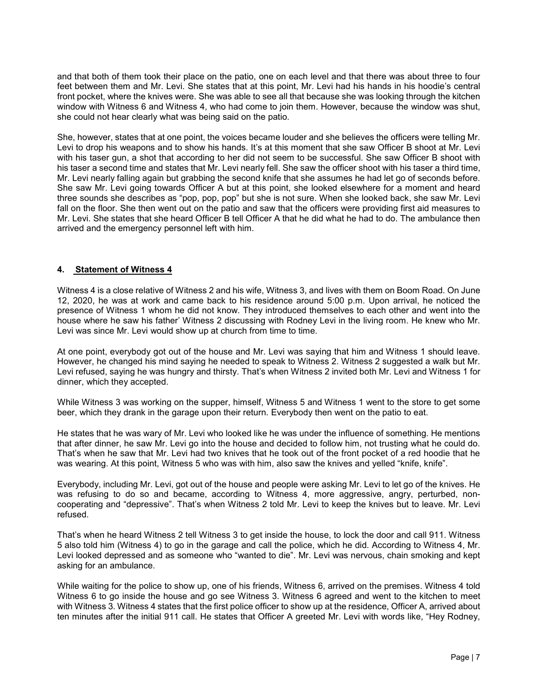and that both of them took their place on the patio, one on each level and that there was about three to four feet between them and Mr. Levi. She states that at this point, Mr. Levi had his hands in his hoodie's central front pocket, where the knives were. She was able to see all that because she was looking through the kitchen window with Witness 6 and Witness 4, who had come to join them. However, because the window was shut, she could not hear clearly what was being said on the patio.

She, however, states that at one point, the voices became louder and she believes the officers were telling Mr. Levi to drop his weapons and to show his hands. It's at this moment that she saw Officer B shoot at Mr. Levi with his taser gun, a shot that according to her did not seem to be successful. She saw Officer B shoot with his taser a second time and states that Mr. Levi nearly fell. She saw the officer shoot with his taser a third time, Mr. Levi nearly falling again but grabbing the second knife that she assumes he had let go of seconds before. She saw Mr. Levi going towards Officer A but at this point, she looked elsewhere for a moment and heard three sounds she describes as "pop, pop, pop" but she is not sure. When she looked back, she saw Mr. Levi fall on the floor. She then went out on the patio and saw that the officers were providing first aid measures to Mr. Levi. She states that she heard Officer B tell Officer A that he did what he had to do. The ambulance then arrived and the emergency personnel left with him.

## **4. Statement of Witness 4**

Witness 4 is a close relative of Witness 2 and his wife, Witness 3, and lives with them on Boom Road. On June 12, 2020, he was at work and came back to his residence around 5:00 p.m. Upon arrival, he noticed the presence of Witness 1 whom he did not know. They introduced themselves to each other and went into the house where he saw his father' Witness 2 discussing with Rodney Levi in the living room. He knew who Mr. Levi was since Mr. Levi would show up at church from time to time.

At one point, everybody got out of the house and Mr. Levi was saying that him and Witness 1 should leave. However, he changed his mind saying he needed to speak to Witness 2. Witness 2 suggested a walk but Mr. Levi refused, saying he was hungry and thirsty. That's when Witness 2 invited both Mr. Levi and Witness 1 for dinner, which they accepted.

While Witness 3 was working on the supper, himself, Witness 5 and Witness 1 went to the store to get some beer, which they drank in the garage upon their return. Everybody then went on the patio to eat.

He states that he was wary of Mr. Levi who looked like he was under the influence of something. He mentions that after dinner, he saw Mr. Levi go into the house and decided to follow him, not trusting what he could do. That's when he saw that Mr. Levi had two knives that he took out of the front pocket of a red hoodie that he was wearing. At this point, Witness 5 who was with him, also saw the knives and yelled "knife, knife".

Everybody, including Mr. Levi, got out of the house and people were asking Mr. Levi to let go of the knives. He was refusing to do so and became, according to Witness 4, more aggressive, angry, perturbed, noncooperating and "depressive". That's when Witness 2 told Mr. Levi to keep the knives but to leave. Mr. Levi refused.

That's when he heard Witness 2 tell Witness 3 to get inside the house, to lock the door and call 911. Witness 5 also told him (Witness 4) to go in the garage and call the police, which he did. According to Witness 4, Mr. Levi looked depressed and as someone who "wanted to die". Mr. Levi was nervous, chain smoking and kept asking for an ambulance.

While waiting for the police to show up, one of his friends, Witness 6, arrived on the premises. Witness 4 told Witness 6 to go inside the house and go see Witness 3. Witness 6 agreed and went to the kitchen to meet with Witness 3. Witness 4 states that the first police officer to show up at the residence, Officer A, arrived about ten minutes after the initial 911 call. He states that Officer A greeted Mr. Levi with words like, "Hey Rodney,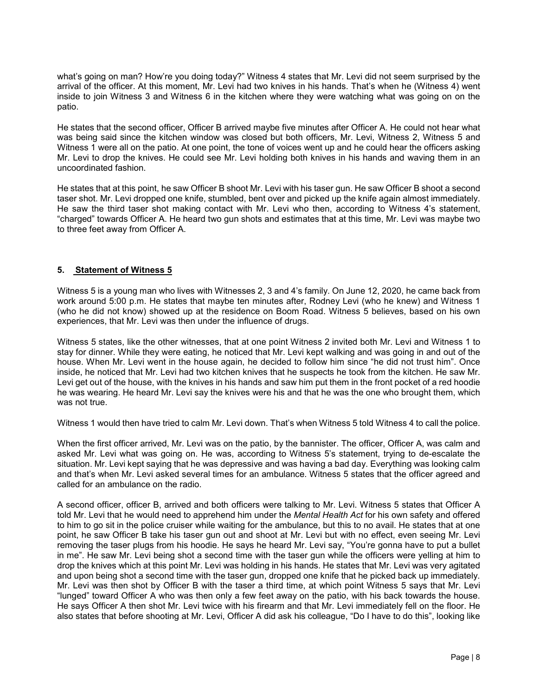what's going on man? How're you doing today?" Witness 4 states that Mr. Levi did not seem surprised by the arrival of the officer. At this moment, Mr. Levi had two knives in his hands. That's when he (Witness 4) went inside to join Witness 3 and Witness 6 in the kitchen where they were watching what was going on on the patio.

He states that the second officer, Officer B arrived maybe five minutes after Officer A. He could not hear what was being said since the kitchen window was closed but both officers, Mr. Levi, Witness 2, Witness 5 and Witness 1 were all on the patio. At one point, the tone of voices went up and he could hear the officers asking Mr. Levi to drop the knives. He could see Mr. Levi holding both knives in his hands and waving them in an uncoordinated fashion.

He states that at this point, he saw Officer B shoot Mr. Levi with his taser gun. He saw Officer B shoot a second taser shot. Mr. Levi dropped one knife, stumbled, bent over and picked up the knife again almost immediately. He saw the third taser shot making contact with Mr. Levi who then, according to Witness 4's statement, "charged" towards Officer A. He heard two gun shots and estimates that at this time, Mr. Levi was maybe two to three feet away from Officer A.

# **5. Statement of Witness 5**

Witness 5 is a young man who lives with Witnesses 2, 3 and 4's family. On June 12, 2020, he came back from work around 5:00 p.m. He states that maybe ten minutes after, Rodney Levi (who he knew) and Witness 1 (who he did not know) showed up at the residence on Boom Road. Witness 5 believes, based on his own experiences, that Mr. Levi was then under the influence of drugs.

Witness 5 states, like the other witnesses, that at one point Witness 2 invited both Mr. Levi and Witness 1 to stay for dinner. While they were eating, he noticed that Mr. Levi kept walking and was going in and out of the house. When Mr. Levi went in the house again, he decided to follow him since "he did not trust him". Once inside, he noticed that Mr. Levi had two kitchen knives that he suspects he took from the kitchen. He saw Mr. Levi get out of the house, with the knives in his hands and saw him put them in the front pocket of a red hoodie he was wearing. He heard Mr. Levi say the knives were his and that he was the one who brought them, which was not true.

Witness 1 would then have tried to calm Mr. Levi down. That's when Witness 5 told Witness 4 to call the police.

When the first officer arrived, Mr. Levi was on the patio, by the bannister. The officer, Officer A, was calm and asked Mr. Levi what was going on. He was, according to Witness 5's statement, trying to de-escalate the situation. Mr. Levi kept saying that he was depressive and was having a bad day. Everything was looking calm and that's when Mr. Levi asked several times for an ambulance. Witness 5 states that the officer agreed and called for an ambulance on the radio.

A second officer, officer B, arrived and both officers were talking to Mr. Levi. Witness 5 states that Officer A told Mr. Levi that he would need to apprehend him under the *Mental Health Act* for his own safety and offered to him to go sit in the police cruiser while waiting for the ambulance, but this to no avail. He states that at one point, he saw Officer B take his taser gun out and shoot at Mr. Levi but with no effect, even seeing Mr. Levi removing the taser plugs from his hoodie. He says he heard Mr. Levi say, "You're gonna have to put a bullet in me". He saw Mr. Levi being shot a second time with the taser gun while the officers were yelling at him to drop the knives which at this point Mr. Levi was holding in his hands. He states that Mr. Levi was very agitated and upon being shot a second time with the taser gun, dropped one knife that he picked back up immediately. Mr. Levi was then shot by Officer B with the taser a third time, at which point Witness 5 says that Mr. Levi "lunged" toward Officer A who was then only a few feet away on the patio, with his back towards the house. He says Officer A then shot Mr. Levi twice with his firearm and that Mr. Levi immediately fell on the floor. He also states that before shooting at Mr. Levi, Officer A did ask his colleague, "Do I have to do this", looking like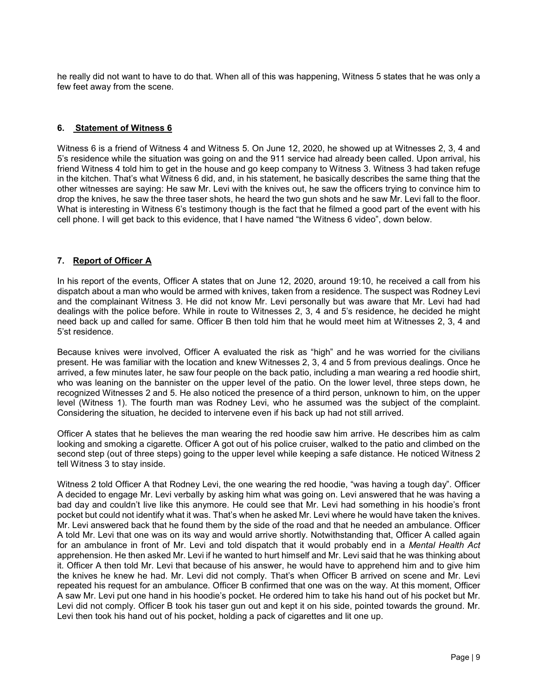he really did not want to have to do that. When all of this was happening, Witness 5 states that he was only a few feet away from the scene.

## **6. Statement of Witness 6**

Witness 6 is a friend of Witness 4 and Witness 5. On June 12, 2020, he showed up at Witnesses 2, 3, 4 and 5's residence while the situation was going on and the 911 service had already been called. Upon arrival, his friend Witness 4 told him to get in the house and go keep company to Witness 3. Witness 3 had taken refuge in the kitchen. That's what Witness 6 did, and, in his statement, he basically describes the same thing that the other witnesses are saying: He saw Mr. Levi with the knives out, he saw the officers trying to convince him to drop the knives, he saw the three taser shots, he heard the two gun shots and he saw Mr. Levi fall to the floor. What is interesting in Witness 6's testimony though is the fact that he filmed a good part of the event with his cell phone. I will get back to this evidence, that I have named "the Witness 6 video", down below.

## **7. Report of Officer A**

In his report of the events, Officer A states that on June 12, 2020, around 19:10, he received a call from his dispatch about a man who would be armed with knives, taken from a residence. The suspect was Rodney Levi and the complainant Witness 3. He did not know Mr. Levi personally but was aware that Mr. Levi had had dealings with the police before. While in route to Witnesses 2, 3, 4 and 5's residence, he decided he might need back up and called for same. Officer B then told him that he would meet him at Witnesses 2, 3, 4 and 5'st residence.

Because knives were involved, Officer A evaluated the risk as "high" and he was worried for the civilians present. He was familiar with the location and knew Witnesses 2, 3, 4 and 5 from previous dealings. Once he arrived, a few minutes later, he saw four people on the back patio, including a man wearing a red hoodie shirt, who was leaning on the bannister on the upper level of the patio. On the lower level, three steps down, he recognized Witnesses 2 and 5. He also noticed the presence of a third person, unknown to him, on the upper level (Witness 1). The fourth man was Rodney Levi, who he assumed was the subject of the complaint. Considering the situation, he decided to intervene even if his back up had not still arrived.

Officer A states that he believes the man wearing the red hoodie saw him arrive. He describes him as calm looking and smoking a cigarette. Officer A got out of his police cruiser, walked to the patio and climbed on the second step (out of three steps) going to the upper level while keeping a safe distance. He noticed Witness 2 tell Witness 3 to stay inside.

Witness 2 told Officer A that Rodney Levi, the one wearing the red hoodie, "was having a tough day". Officer A decided to engage Mr. Levi verbally by asking him what was going on. Levi answered that he was having a bad day and couldn't live like this anymore. He could see that Mr. Levi had something in his hoodie's front pocket but could not identify what it was. That's when he asked Mr. Levi where he would have taken the knives. Mr. Levi answered back that he found them by the side of the road and that he needed an ambulance. Officer A told Mr. Levi that one was on its way and would arrive shortly. Notwithstanding that, Officer A called again for an ambulance in front of Mr. Levi and told dispatch that it would probably end in a *Mental Health Act* apprehension. He then asked Mr. Levi if he wanted to hurt himself and Mr. Levi said that he was thinking about it. Officer A then told Mr. Levi that because of his answer, he would have to apprehend him and to give him the knives he knew he had. Mr. Levi did not comply. That's when Officer B arrived on scene and Mr. Levi repeated his request for an ambulance. Officer B confirmed that one was on the way. At this moment, Officer A saw Mr. Levi put one hand in his hoodie's pocket. He ordered him to take his hand out of his pocket but Mr. Levi did not comply. Officer B took his taser gun out and kept it on his side, pointed towards the ground. Mr. Levi then took his hand out of his pocket, holding a pack of cigarettes and lit one up.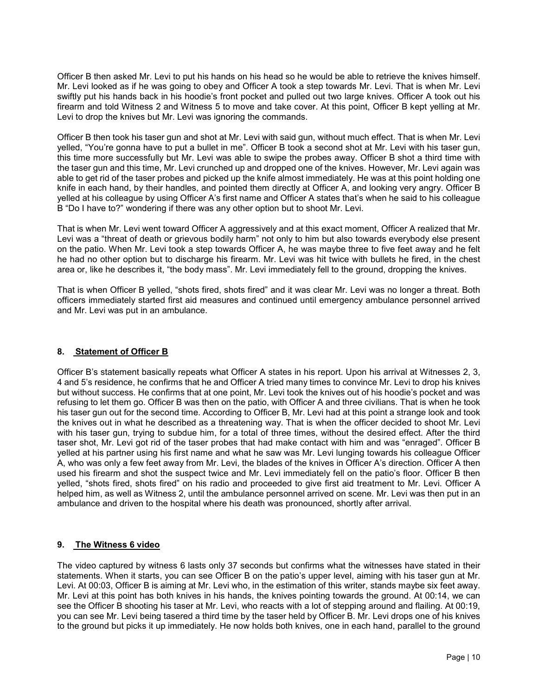Officer B then asked Mr. Levi to put his hands on his head so he would be able to retrieve the knives himself. Mr. Levi looked as if he was going to obey and Officer A took a step towards Mr. Levi. That is when Mr. Levi swiftly put his hands back in his hoodie's front pocket and pulled out two large knives. Officer A took out his firearm and told Witness 2 and Witness 5 to move and take cover. At this point, Officer B kept yelling at Mr. Levi to drop the knives but Mr. Levi was ignoring the commands.

Officer B then took his taser gun and shot at Mr. Levi with said gun, without much effect. That is when Mr. Levi yelled, "You're gonna have to put a bullet in me". Officer B took a second shot at Mr. Levi with his taser gun, this time more successfully but Mr. Levi was able to swipe the probes away. Officer B shot a third time with the taser gun and this time, Mr. Levi crunched up and dropped one of the knives. However, Mr. Levi again was able to get rid of the taser probes and picked up the knife almost immediately. He was at this point holding one knife in each hand, by their handles, and pointed them directly at Officer A, and looking very angry. Officer B yelled at his colleague by using Officer A's first name and Officer A states that's when he said to his colleague B "Do I have to?" wondering if there was any other option but to shoot Mr. Levi.

That is when Mr. Levi went toward Officer A aggressively and at this exact moment, Officer A realized that Mr. Levi was a "threat of death or grievous bodily harm" not only to him but also towards everybody else present on the patio. When Mr. Levi took a step towards Officer A, he was maybe three to five feet away and he felt he had no other option but to discharge his firearm. Mr. Levi was hit twice with bullets he fired, in the chest area or, like he describes it, "the body mass". Mr. Levi immediately fell to the ground, dropping the knives.

That is when Officer B yelled, "shots fired, shots fired" and it was clear Mr. Levi was no longer a threat. Both officers immediately started first aid measures and continued until emergency ambulance personnel arrived and Mr. Levi was put in an ambulance.

# **8. Statement of Officer B**

Officer B's statement basically repeats what Officer A states in his report. Upon his arrival at Witnesses 2, 3, 4 and 5's residence, he confirms that he and Officer A tried many times to convince Mr. Levi to drop his knives but without success. He confirms that at one point, Mr. Levi took the knives out of his hoodie's pocket and was refusing to let them go. Officer B was then on the patio, with Officer A and three civilians. That is when he took his taser gun out for the second time. According to Officer B, Mr. Levi had at this point a strange look and took the knives out in what he described as a threatening way. That is when the officer decided to shoot Mr. Levi with his taser gun, trying to subdue him, for a total of three times, without the desired effect. After the third taser shot, Mr. Levi got rid of the taser probes that had make contact with him and was "enraged". Officer B yelled at his partner using his first name and what he saw was Mr. Levi lunging towards his colleague Officer A, who was only a few feet away from Mr. Levi, the blades of the knives in Officer A's direction. Officer A then used his firearm and shot the suspect twice and Mr. Levi immediately fell on the patio's floor. Officer B then yelled, "shots fired, shots fired" on his radio and proceeded to give first aid treatment to Mr. Levi. Officer A helped him, as well as Witness 2, until the ambulance personnel arrived on scene. Mr. Levi was then put in an ambulance and driven to the hospital where his death was pronounced, shortly after arrival.

# **9. The Witness 6 video**

The video captured by witness 6 lasts only 37 seconds but confirms what the witnesses have stated in their statements. When it starts, you can see Officer B on the patio's upper level, aiming with his taser gun at Mr. Levi. At 00:03, Officer B is aiming at Mr. Levi who, in the estimation of this writer, stands maybe six feet away. Mr. Levi at this point has both knives in his hands, the knives pointing towards the ground. At 00:14, we can see the Officer B shooting his taser at Mr. Levi, who reacts with a lot of stepping around and flailing. At 00:19, you can see Mr. Levi being tasered a third time by the taser held by Officer B. Mr. Levi drops one of his knives to the ground but picks it up immediately. He now holds both knives, one in each hand, parallel to the ground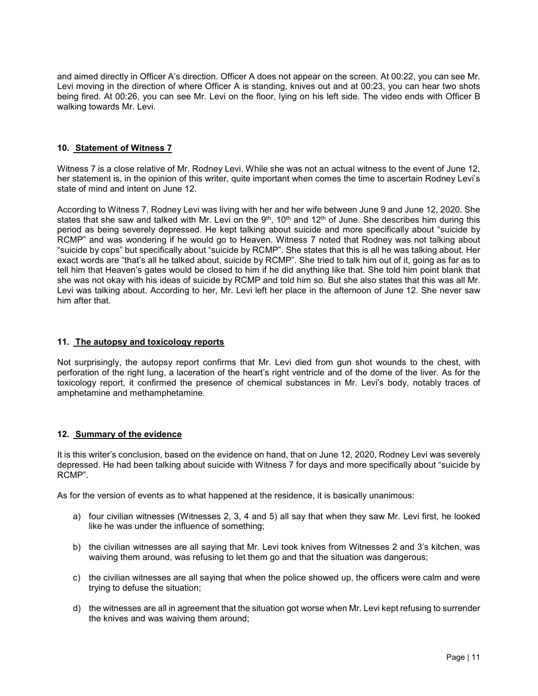and aimed directly in Officer A's direction. Officer A does not appear on the screen. At 00:22, you can see Mr. Levi moving in the direction of where Officer A is standing, knives out and at 00:23, you can hear two shots being fired. At 00:26, you can see Mr. Levi on the floor, lying on his left side. The video ends with Officer B walking towards Mr. Levi.

## **10. Statement of Witness 7**

Witness 7 is a close relative of Mr. Rodney Levi. While she was not an actual witness to the event of June 12, her statement is, in the opinion of this writer, quite important when comes the time to ascertain Rodney Levi's state of mind and intent on June 12.

According to Witness 7, Rodney Levi was living with her and her wife between June 9 and June 12, 2020. She states that she saw and talked with Mr. Levi on the  $9<sup>th</sup>$ , 10<sup>th</sup> and 12<sup>th</sup> of June. She describes him during this period as being severely depressed. He kept talking about suicide and more specifically about "suicide by RCMP" and was wondering if he would go to Heaven. Witness 7 noted that Rodney was not talking about "suicide by cops" but specifically about "suicide by RCMP". She states that this is all he was talking about. Her exact words are "that's all he talked about, suicide by RCMP". She tried to talk him out of it, going as far as to tell him that Heaven's gates would be closed to him if he did anything like that. She told him point blank that she was not okay with his ideas of suicide by RCMP and told him so. But she also states that this was all Mr. Levi was talking about. According to her, Mr. Levi left her place in the afternoon of June 12. She never saw him after that.

#### **11. The autopsy and toxicology reports**

Not surprisingly, the autopsy report confirms that Mr. Levi died from gun shot wounds to the chest, with perforation of the right lung, a laceration of the heart's right ventricle and of the dome of the liver. As for the toxicology report, it confirmed the presence of chemical substances in Mr. Levi's body, notably traces of amphetamine and methamphetamine.

### **12. Summary of the evidence**

It is this writer's conclusion, based on the evidence on hand, that on June 12, 2020, Rodney Levi was severely depressed. He had been talking about suicide with Witness 7 for days and more specifically about "suicide by RCMP".

As for the version of events as to what happened at the residence, it is basically unanimous:

- a) four civilian witnesses (Witnesses 2, 3, 4 and 5) all say that when they saw Mr. Levi first, he looked like he was under the influence of something;
- b) the civilian witnesses are all saying that Mr. Levi took knives from Witnesses 2 and 3's kitchen, was waiving them around, was refusing to let them go and that the situation was dangerous;
- c) the civilian witnesses are all saying that when the police showed up, the officers were calm and were trying to defuse the situation;
- d) the witnesses are all in agreement that the situation got worse when Mr. Levi kept refusing to surrender the knives and was waiving them around;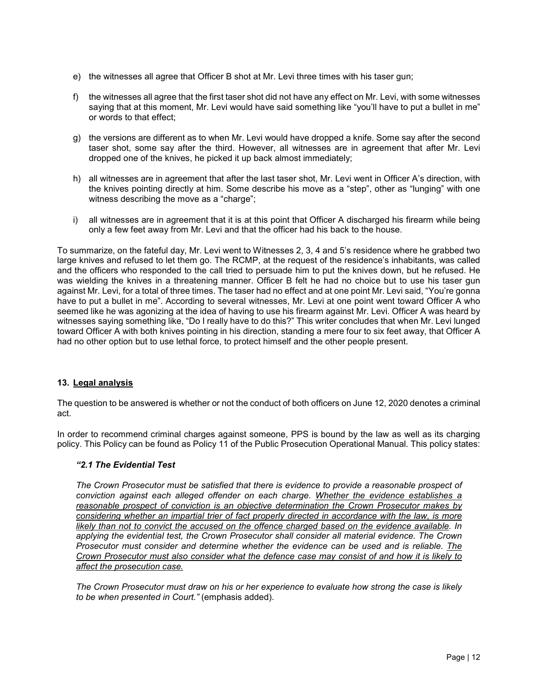- e) the witnesses all agree that Officer B shot at Mr. Levi three times with his taser gun;
- f) the witnesses all agree that the first taser shot did not have any effect on Mr. Levi, with some witnesses saying that at this moment, Mr. Levi would have said something like "you'll have to put a bullet in me" or words to that effect;
- g) the versions are different as to when Mr. Levi would have dropped a knife. Some say after the second taser shot, some say after the third. However, all witnesses are in agreement that after Mr. Levi dropped one of the knives, he picked it up back almost immediately;
- h) all witnesses are in agreement that after the last taser shot, Mr. Levi went in Officer A's direction, with the knives pointing directly at him. Some describe his move as a "step", other as "lunging" with one witness describing the move as a "charge";
- i) all witnesses are in agreement that it is at this point that Officer A discharged his firearm while being only a few feet away from Mr. Levi and that the officer had his back to the house.

To summarize, on the fateful day, Mr. Levi went to Witnesses 2, 3, 4 and 5's residence where he grabbed two large knives and refused to let them go. The RCMP, at the request of the residence's inhabitants, was called and the officers who responded to the call tried to persuade him to put the knives down, but he refused. He was wielding the knives in a threatening manner. Officer B felt he had no choice but to use his taser gun against Mr. Levi, for a total of three times. The taser had no effect and at one point Mr. Levi said, "You're gonna have to put a bullet in me". According to several witnesses, Mr. Levi at one point went toward Officer A who seemed like he was agonizing at the idea of having to use his firearm against Mr. Levi. Officer A was heard by witnesses saying something like, "Do I really have to do this?" This writer concludes that when Mr. Levi lunged toward Officer A with both knives pointing in his direction, standing a mere four to six feet away, that Officer A had no other option but to use lethal force, to protect himself and the other people present.

# **13. Legal analysis**

The question to be answered is whether or not the conduct of both officers on June 12, 2020 denotes a criminal act.

In order to recommend criminal charges against someone, PPS is bound by the law as well as its charging policy. This Policy can be found as Policy 11 of the Public Prosecution Operational Manual. This policy states:

# *"2.1 The Evidential Test*

*The Crown Prosecutor must be satisfied that there is evidence to provide a reasonable prospect of conviction against each alleged offender on each charge. Whether the evidence establishes a reasonable prospect of conviction is an objective determination the Crown Prosecutor makes by considering whether an impartial trier of fact properly directed in accordance with the law, is more likely than not to convict the accused on the offence charged based on the evidence available. In applying the evidential test, the Crown Prosecutor shall consider all material evidence. The Crown Prosecutor must consider and determine whether the evidence can be used and is reliable. The Crown Prosecutor must also consider what the defence case may consist of and how it is likely to affect the prosecution case.* 

*The Crown Prosecutor must draw on his or her experience to evaluate how strong the case is likely to be when presented in Court."* (emphasis added).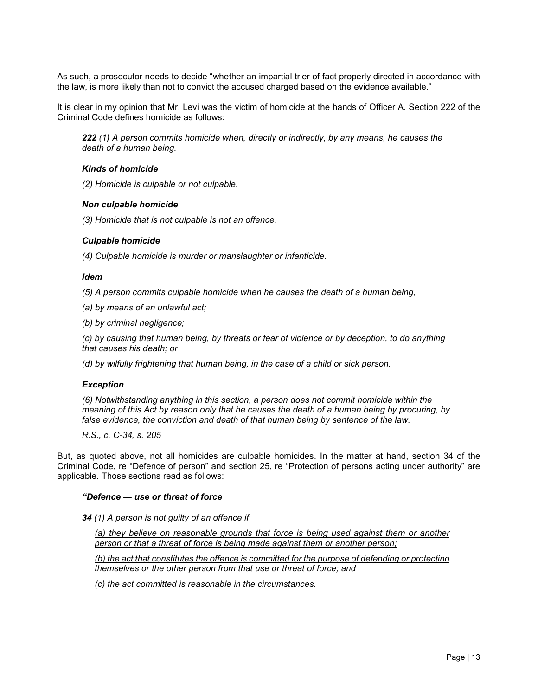As such, a prosecutor needs to decide "whether an impartial trier of fact properly directed in accordance with the law, is more likely than not to convict the accused charged based on the evidence available."

It is clear in my opinion that Mr. Levi was the victim of homicide at the hands of Officer A. Section 222 of the Criminal Code defines homicide as follows:

*222 (1) A person commits homicide when, directly or indirectly, by any means, he causes the death of a human being.*

### *Kinds of homicide*

*(2) Homicide is culpable or not culpable.*

#### *Non culpable homicide*

*(3) Homicide that is not culpable is not an offence.*

#### *Culpable homicide*

*(4) Culpable homicide is murder or manslaughter or infanticide.*

#### *Idem*

*(5) A person commits culpable homicide when he causes the death of a human being,*

*(a) by means of an unlawful act;*

*(b) by criminal negligence;*

*(c) by causing that human being, by threats or fear of violence or by deception, to do anything that causes his death; or*

*(d) by wilfully frightening that human being, in the case of a child or sick person.*

### *Exception*

*(6) Notwithstanding anything in this section, a person does not commit homicide within the meaning of this Act by reason only that he causes the death of a human being by procuring, by false evidence, the conviction and death of that human being by sentence of the law.*

*R.S., c. C-34, s. 205*

But, as quoted above, not all homicides are culpable homicides. In the matter at hand, section 34 of the Criminal Code, re "Defence of person" and section 25, re "Protection of persons acting under authority" are applicable. Those sections read as follows:

#### *"Defence — use or threat of force*

*34 (1) A person is not guilty of an offence if*

*(a) they believe on reasonable grounds that force is being used against them or another person or that a threat of force is being made against them or another person;*

*(b) the act that constitutes the offence is committed for the purpose of defending or protecting themselves or the other person from that use or threat of force; and*

*(c) the act committed is reasonable in the circumstances.*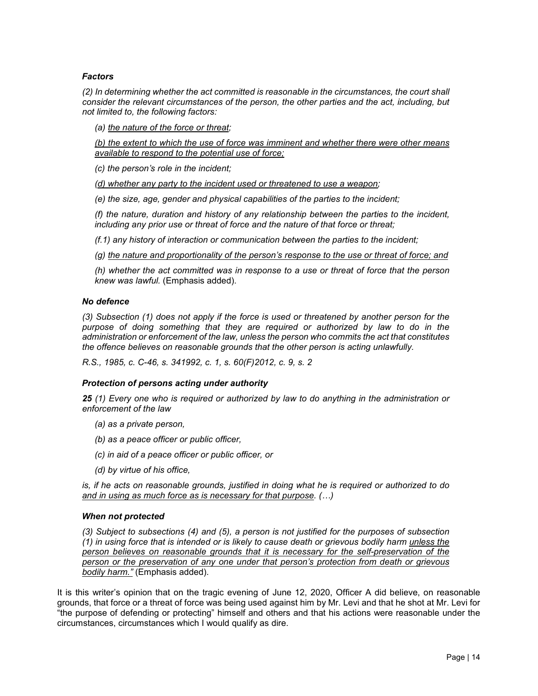## *Factors*

*(2) In determining whether the act committed is reasonable in the circumstances, the court shall consider the relevant circumstances of the person, the other parties and the act, including, but not limited to, the following factors:*

*(a) the nature of the force or threat;* 

*(b) the extent to which the use of force was imminent and whether there were other means available to respond to the potential use of force;*

*(c) the person's role in the incident;*

*(d) whether any party to the incident used or threatened to use a weapon;* 

*(e) the size, age, gender and physical capabilities of the parties to the incident;*

*(f) the nature, duration and history of any relationship between the parties to the incident, including any prior use or threat of force and the nature of that force or threat;*

*(f.1) any history of interaction or communication between the parties to the incident;*

*(g) the nature and proportionality of the person's response to the use or threat of force; and*

*(h) whether the act committed was in response to a use or threat of force that the person knew was lawful.* (Emphasis added).

#### *No defence*

*(3) Subsection (1) does not apply if the force is used or threatened by another person for the purpose of doing something that they are required or authorized by law to do in the administration or enforcement of the law, unless the person who commits the act that constitutes the offence believes on reasonable grounds that the other person is acting unlawfully.*

*R.S., 1985, c. C-46, s. 341992, c. 1, s. 60(F)2012, c. 9, s. 2*

### *Protection of persons acting under authority*

*25 (1) Every one who is required or authorized by law to do anything in the administration or enforcement of the law*

- *(a) as a private person,*
- *(b) as a peace officer or public officer,*
- *(c) in aid of a peace officer or public officer, or*
- *(d) by virtue of his office,*

*is, if he acts on reasonable grounds, justified in doing what he is required or authorized to do and in using as much force as is necessary for that purpose. (…)* 

#### *When not protected*

*(3) Subject to subsections (4) and (5), a person is not justified for the purposes of subsection (1) in using force that is intended or is likely to cause death or grievous bodily harm unless the person believes on reasonable grounds that it is necessary for the self-preservation of the person or the preservation of any one under that person's protection from death or grievous bodily harm."* (Emphasis added).

It is this writer's opinion that on the tragic evening of June 12, 2020, Officer A did believe, on reasonable grounds, that force or a threat of force was being used against him by Mr. Levi and that he shot at Mr. Levi for "the purpose of defending or protecting" himself and others and that his actions were reasonable under the circumstances, circumstances which I would qualify as dire.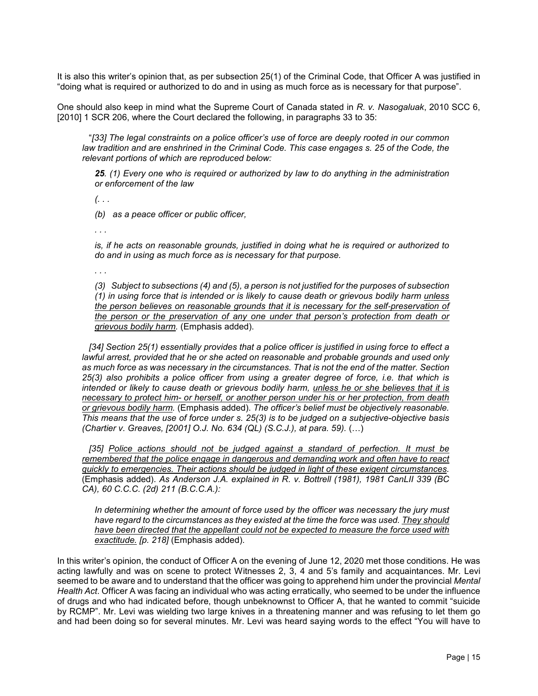It is also this writer's opinion that, as per subsection 25(1) of the Criminal Code, that Officer A was justified in "doing what is required or authorized to do and in using as much force as is necessary for that purpose".

One should also keep in mind what the Supreme Court of Canada stated in *R. v. Nasogaluak*, 2010 SCC 6, [2010] 1 SCR 206, where the Court declared the following, in paragraphs 33 to 35:

 "*[33] The legal constraints on a police officer's use of force are deeply rooted in our common law tradition and are enshrined in the Criminal Code. This case engages s. 25 of the Code, the relevant portions of which are reproduced below:*

*25. (1) Every one who is required or authorized by law to do anything in the administration or enforcement of the law*

*(. . .*

*(b) as a peace officer or public officer,* 

*. . .*

*is, if he acts on reasonable grounds, justified in doing what he is required or authorized to do and in using as much force as is necessary for that purpose.*

*. . .*

*(3) Subject to subsections (4) and (5), a person is not justified for the purposes of subsection (1) in using force that is intended or is likely to cause death or grievous bodily harm unless the person believes on reasonable grounds that it is necessary for the self*‑*preservation of the person or the preservation of any one under that person's protection from death or grievous bodily harm.* (Emphasis added).

*[34] Section 25(1) essentially provides that a police officer is justified in using force to effect a*  lawful arrest, provided that he or she acted on reasonable and probable grounds and used only *as much force as was necessary in the circumstances. That is not the end of the matter. Section 25(3) also prohibits a police officer from using a greater degree of force, i.e. that which is intended or likely to cause death or grievous bodily harm, unless he or she believes that it is necessary to protect him- or herself, or another person under his or her protection, from death or grievous bodily harm.* (Emphasis added). *The officer's belief must be objectively reasonable. This means that the use of force under s. 25(3) is to be judged on a subjective-objective basis (Chartier v. Greaves, [2001] O.J. No. 634 (QL) (S.C.J.), at para. 59).* (…)

*[35] Police actions should not be judged against a standard of perfection. It must be remembered that the police engage in dangerous and demanding work and often have to react quickly to emergencies. Their actions should be judged in light of these exigent circumstances.*  (Emphasis added). *As Anderson J.A. explained in R. v. Bottrell (1981), 1981 CanLII 339 (BC CA), 60 C.C.C. (2d) 211 (B.C.C.A.):*

*In determining whether the amount of force used by the officer was necessary the jury must have regard to the circumstances as they existed at the time the force was used. They should have been directed that the appellant could not be expected to measure the force used with exactitude. [p. 218]* (Emphasis added).

In this writer's opinion, the conduct of Officer A on the evening of June 12, 2020 met those conditions. He was acting lawfully and was on scene to protect Witnesses 2, 3, 4 and 5's family and acquaintances. Mr. Levi seemed to be aware and to understand that the officer was going to apprehend him under the provincial *Mental Health Act*. Officer A was facing an individual who was acting erratically, who seemed to be under the influence of drugs and who had indicated before, though unbeknownst to Officer A, that he wanted to commit "suicide by RCMP". Mr. Levi was wielding two large knives in a threatening manner and was refusing to let them go and had been doing so for several minutes. Mr. Levi was heard saying words to the effect "You will have to